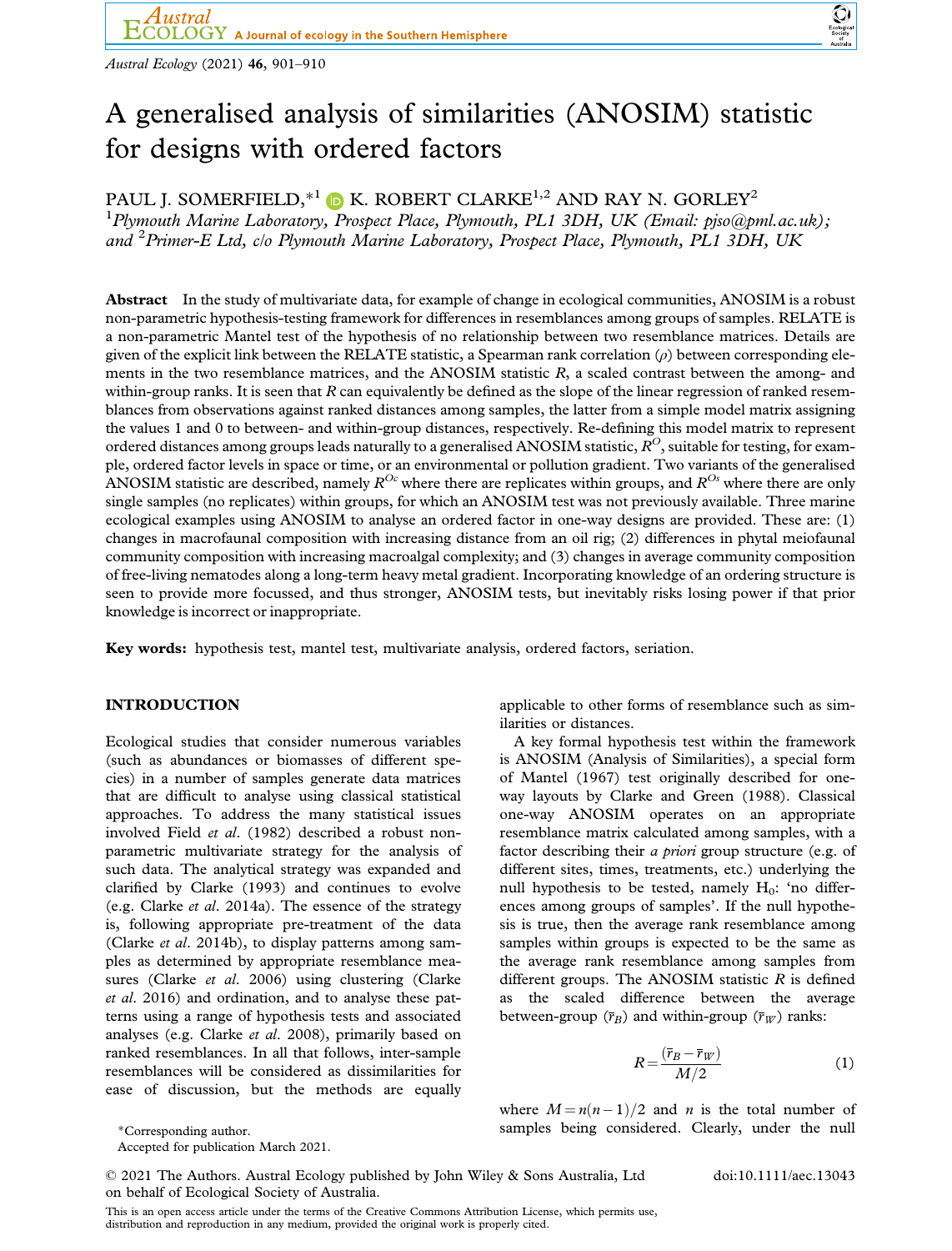Austral Ecology (2021) 46, 901–910



# A generalised analysis of similarities (ANOSIM) statistic for designs with ordered factors

PAUL J. SOMERFIELD,  $*^1$   $\bullet$  K. ROBERT CLARKE<sup>1,2</sup> AND RAY N. GORLEY<sup>2</sup>

<sup>1</sup>Plymouth Marine Laboratory, Prospect Place, Plymouth, PL1 3DH, UK (Email: [pjso@pml.ac.uk](mailto:)); and <sup>2</sup> Primer-E Ltd, c/o Plymouth Marine Laboratory, Prospect Place, Plymouth, PL1 3DH, UK

Abstract In the study of multivariate data, for example of change in ecological communities, ANOSIM is a robust non-parametric hypothesis-testing framework for differences in resemblances among groups of samples. RELATE is a non-parametric Mantel test of the hypothesis of no relationship between two resemblance matrices. Details are given of the explicit link between the RELATE statistic, a Spearman rank correlation  $(\rho)$  between corresponding elements in the two resemblance matrices, and the ANOSIM statistic R, a scaled contrast between the among- and within-group ranks. It is seen that R can equivalently be defined as the slope of the linear regression of ranked resemblances from observations against ranked distances among samples, the latter from a simple model matrix assigning the values 1 and 0 to between- and within-group distances, respectively. Re-defining this model matrix to represent ordered distances among groups leads naturally to a generalised ANOSIM statistic,  $R^O$ , suitable for testing, for example, ordered factor levels in space or time, or an environmental or pollution gradient. Two variants of the generalised ANOSIM statistic are described, namely  $R^{Oc}$  where there are replicates within groups, and  $R^{Os}$  where there are only single samples (no replicates) within groups, for which an ANOSIM test was not previously available. Three marine ecological examples using ANOSIM to analyse an ordered factor in one-way designs are provided. These are: (1) changes in macrofaunal composition with increasing distance from an oil rig; (2) differences in phytal meiofaunal community composition with increasing macroalgal complexity; and (3) changes in average community composition of free-living nematodes along a long-term heavy metal gradient. Incorporating knowledge of an ordering structure is seen to provide more focussed, and thus stronger, ANOSIM tests, but inevitably risks losing power if that prior knowledge is incorrect or inappropriate.

Key words: hypothesis test, mantel test, multivariate analysis, ordered factors, seriation.

# INTRODUCTION

Ecological studies that consider numerous variables (such as abundances or biomasses of different species) in a number of samples generate data matrices that are difficult to analyse using classical statistical approaches. To address the many statistical issues involved Field et al. (1982) described a robust nonparametric multivariate strategy for the analysis of such data. The analytical strategy was expanded and clarified by Clarke (1993) and continues to evolve (e.g. Clarke et al. 2014a). The essence of the strategy is, following appropriate pre-treatment of the data (Clarke et al. 2014b), to display patterns among samples as determined by appropriate resemblance measures (Clarke et al. 2006) using clustering (Clarke et al. 2016) and ordination, and to analyse these patterns using a range of hypothesis tests and associated analyses (e.g. Clarke et al. 2008), primarily based on ranked resemblances. In all that follows, inter-sample resemblances will be considered as dissimilarities for ease of discussion, but the methods are equally

applicable to other forms of resemblance such as similarities or distances.

A key formal hypothesis test within the framework is ANOSIM (Analysis of Similarities), a special form of Mantel (1967) test originally described for oneway layouts by Clarke and Green (1988). Classical one-way ANOSIM operates on an appropriate resemblance matrix calculated among samples, with a factor describing their a priori group structure (e.g. of different sites, times, treatments, etc.) underlying the null hypothesis to be tested, namely  $H_0$ : 'no differences among groups of samples'. If the null hypothesis is true, then the average rank resemblance among samples within groups is expected to be the same as the average rank resemblance among samples from different groups. The ANOSIM statistic  $R$  is defined as the scaled difference between the average between-group  $(\bar{r}_B)$  and within-group  $(\bar{r}_W)$  ranks:

$$
R = \frac{(\overline{r}_B - \overline{r}_W)}{M/2} \tag{1}
$$

where  $M = n(n-1)/2$  and *n* is the total number of \*Corresponding author. samples being considered. Clearly, under the null

Accepted for publication March 2021.

© 2021 The Authors. Austral Ecology published by John Wiley & Sons Australia, Ltd on behalf of Ecological Society of Australia.

doi:10.1111/aec.13043

This is an open access article under the terms of the [Creative Commons Attribution](http://creativecommons.org/licenses/by/4.0/) License, which permits use, distribution and reproduction in any medium, provided the original work is properly cited.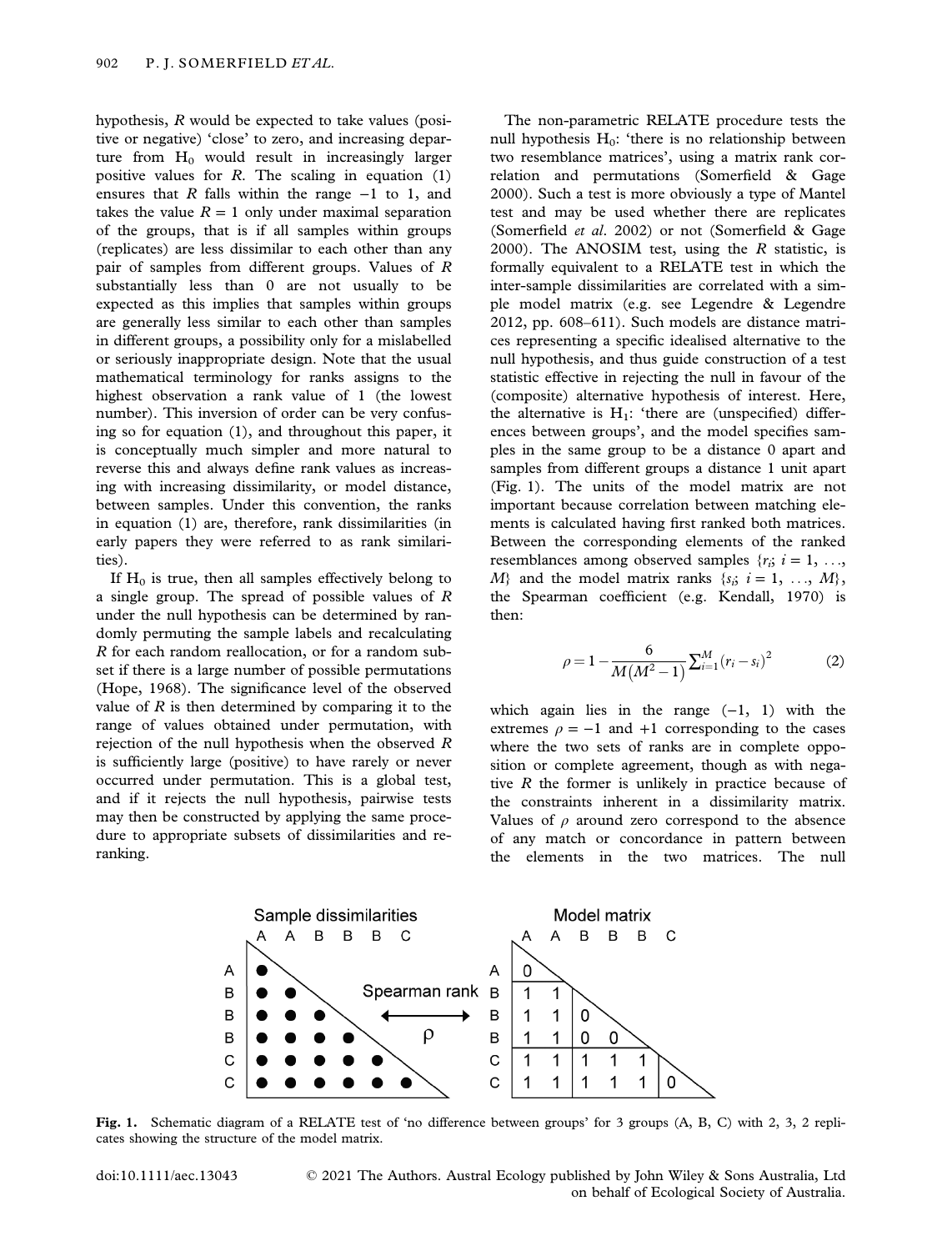hypothesis, R would be expected to take values (positive or negative) 'close' to zero, and increasing departure from  $H_0$  would result in increasingly larger positive values for  $R$ . The scaling in equation (1) ensures that R falls within the range  $-1$  to 1, and takes the value  $R = 1$  only under maximal separation of the groups, that is if all samples within groups (replicates) are less dissimilar to each other than any pair of samples from different groups. Values of R substantially less than 0 are not usually to be expected as this implies that samples within groups are generally less similar to each other than samples in different groups, a possibility only for a mislabelled or seriously inappropriate design. Note that the usual mathematical terminology for ranks assigns to the highest observation a rank value of 1 (the lowest number). This inversion of order can be very confusing so for equation (1), and throughout this paper, it is conceptually much simpler and more natural to reverse this and always define rank values as increasing with increasing dissimilarity, or model distance, between samples. Under this convention, the ranks in equation (1) are, therefore, rank dissimilarities (in early papers they were referred to as rank similarities).

If  $H_0$  is true, then all samples effectively belong to a single group. The spread of possible values of R under the null hypothesis can be determined by randomly permuting the sample labels and recalculating R for each random reallocation, or for a random subset if there is a large number of possible permutations (Hope, 1968). The significance level of the observed value of  $R$  is then determined by comparing it to the range of values obtained under permutation, with rejection of the null hypothesis when the observed R is sufficiently large (positive) to have rarely or never occurred under permutation. This is a global test, and if it rejects the null hypothesis, pairwise tests may then be constructed by applying the same procedure to appropriate subsets of dissimilarities and reranking.

The non-parametric RELATE procedure tests the null hypothesis  $H_0$ : 'there is no relationship between two resemblance matrices', using a matrix rank correlation and permutations (Somerfield & Gage 2000). Such a test is more obviously a type of Mantel test and may be used whether there are replicates (Somerfield et al. 2002) or not (Somerfield & Gage 2000). The ANOSIM test, using the  $R$  statistic, is formally equivalent to a RELATE test in which the inter-sample dissimilarities are correlated with a simple model matrix (e.g. see Legendre & Legendre 2012, pp. 608–611). Such models are distance matrices representing a specific idealised alternative to the null hypothesis, and thus guide construction of a test statistic effective in rejecting the null in favour of the (composite) alternative hypothesis of interest. Here, the alternative is  $H_1$ : 'there are (unspecified) differences between groups', and the model specifies samples in the same group to be a distance 0 apart and samples from different groups a distance 1 unit apart (Fig. 1). The units of the model matrix are not important because correlation between matching elements is calculated having first ranked both matrices. Between the corresponding elements of the ranked resemblances among observed samples  $\{r_i; i = 1, \ldots, \}$  $M$ } and the model matrix ranks  $\{s_i; i = 1, ..., M\}$ , the Spearman coefficient (e.g. Kendall, 1970) is then:

$$
\rho = 1 - \frac{6}{M(M^2 - 1)} \sum_{i=1}^{M} (r_i - s_i)^2
$$
 (2)

which again lies in the range  $(-1, 1)$  with the extremes  $\rho = -1$  and  $+1$  corresponding to the cases where the two sets of ranks are in complete opposition or complete agreement, though as with negative  $R$  the former is unlikely in practice because of the constraints inherent in a dissimilarity matrix. Values of  $\rho$  around zero correspond to the absence of any match or concordance in pattern between the elements in the two matrices. The null



Fig. 1. Schematic diagram of a RELATE test of 'no difference between groups' for 3 groups (A, B, C) with 2, 3, 2 replicates showing the structure of the model matrix.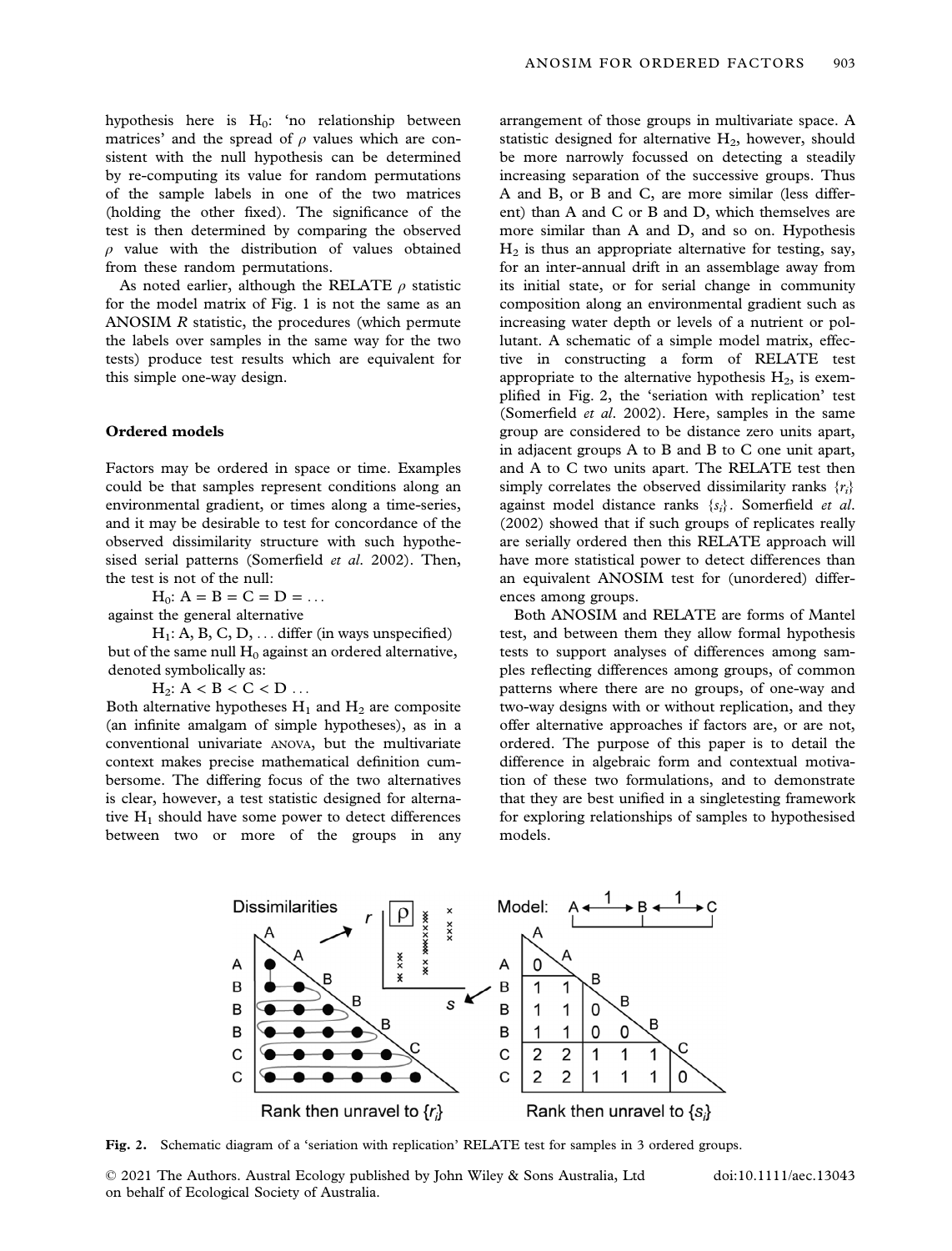hypothesis here is  $H_0$ : 'no relationship between matrices' and the spread of  $\rho$  values which are consistent with the null hypothesis can be determined by re-computing its value for random permutations of the sample labels in one of the two matrices (holding the other fixed). The significance of the test is then determined by comparing the observed  $\rho$  value with the distribution of values obtained from these random permutations.

As noted earlier, although the RELATE  $\rho$  statistic for the model matrix of Fig. 1 is not the same as an ANOSIM R statistic, the procedures (which permute the labels over samples in the same way for the two tests) produce test results which are equivalent for this simple one-way design.

# Ordered models

Factors may be ordered in space or time. Examples could be that samples represent conditions along an environmental gradient, or times along a time-series, and it may be desirable to test for concordance of the observed dissimilarity structure with such hypothesised serial patterns (Somerfield et al. 2002). Then, the test is not of the null:

 $H_0$ :  $A = B = C = D = ...$ against the general alternative

 $H_1: A, B, C, D, \ldots$  differ (in ways unspecified) but of the same null  $H_0$  against an ordered alternative, denoted symbolically as:

 $H_2$ :  $A < B < C < D$  ...

Both alternative hypotheses  $H_1$  and  $H_2$  are composite (an infinite amalgam of simple hypotheses), as in a conventional univariate ANOVA, but the multivariate context makes precise mathematical definition cumbersome. The differing focus of the two alternatives is clear, however, a test statistic designed for alternative  $H_1$  should have some power to detect differences between two or more of the groups in any

arrangement of those groups in multivariate space. A statistic designed for alternative  $H_2$ , however, should be more narrowly focussed on detecting a steadily increasing separation of the successive groups. Thus A and B, or B and C, are more similar (less different) than A and C or B and D, which themselves are more similar than A and D, and so on. Hypothesis  $H<sub>2</sub>$  is thus an appropriate alternative for testing, say, for an inter-annual drift in an assemblage away from its initial state, or for serial change in community composition along an environmental gradient such as increasing water depth or levels of a nutrient or pollutant. A schematic of a simple model matrix, effective in constructing a form of RELATE test appropriate to the alternative hypothesis  $H_2$ , is exemplified in Fig. 2, the 'seriation with replication' test (Somerfield et al. 2002). Here, samples in the same group are considered to be distance zero units apart, in adjacent groups A to B and B to C one unit apart, and A to C two units apart. The RELATE test then simply correlates the observed dissimilarity ranks  $\{r_i\}$ against model distance ranks  $\{s_i\}$ . Somerfield et al. (2002) showed that if such groups of replicates really are serially ordered then this RELATE approach will have more statistical power to detect differences than an equivalent ANOSIM test for (unordered) differences among groups.

Both ANOSIM and RELATE are forms of Mantel test, and between them they allow formal hypothesis tests to support analyses of differences among samples reflecting differences among groups, of common patterns where there are no groups, of one-way and two-way designs with or without replication, and they offer alternative approaches if factors are, or are not, ordered. The purpose of this paper is to detail the difference in algebraic form and contextual motivation of these two formulations, and to demonstrate that they are best unified in a singletesting framework for exploring relationships of samples to hypothesised models.



Fig. 2. Schematic diagram of a 'seriation with replication' RELATE test for samples in 3 ordered groups.

© 2021 The Authors. Austral Ecology published by John Wiley & Sons Australia, Ltd on behalf of Ecological Society of Australia.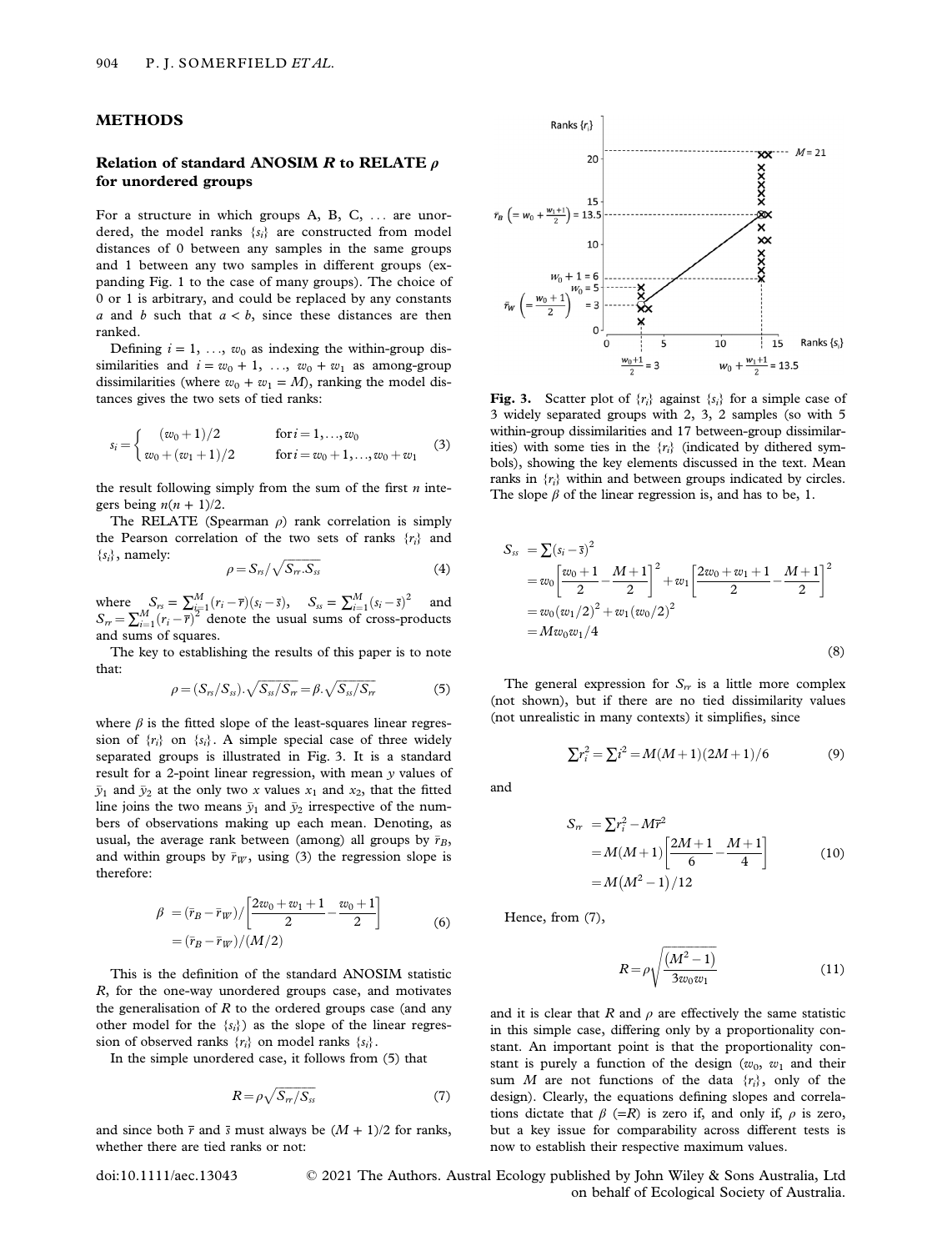#### METHODS

# Relation of standard ANOSIM R to RELATE  $\rho$ for unordered groups

For a structure in which groups A, B, C, ... are unordered, the model ranks  $\{s_i\}$  are constructed from model distances of 0 between any samples in the same groups and 1 between any two samples in different groups (expanding Fig. 1 to the case of many groups). The choice of 0 or 1 is arbitrary, and could be replaced by any constants a and b such that  $a < b$ , since these distances are then ranked.

Defining  $i = 1, \ldots, w_0$  as indexing the within-group dissimilarities and  $i = w_0 + 1, \ldots, w_0 + w_1$  as among-group dissimilarities (where  $w_0 + w_1 = M$ ), ranking the model distances gives the two sets of tied ranks:

$$
s_i = \begin{cases} (w_0 + 1)/2 & \text{for } i = 1, ..., w_0 \\ w_0 + (w_1 + 1)/2 & \text{for } i = w_0 + 1, ..., w_0 + w_1 \end{cases}
$$
 (3)

the result following simply from the sum of the first  $n$  integers being  $n(n + 1)/2$ .

The RELATE (Spearman  $\rho$ ) rank correlation is simply the Pearson correlation of the two sets of ranks  $\{r_i\}$  and  $\{s_i\}$ , namely:

$$
\rho = S_{rs}/\sqrt{S_{rr}.S_{ss}} \tag{4}
$$

where  $S_{rs} = \sum_{i=1}^{M} (r_i - \bar{r})(s_i - \bar{s}),$   $S_{ss} = \sum_{i=1}^{M} (s_i - \bar{s})^2$  and  $S_r = \sum_{i=1}^{M} (r_i - \overline{r})^2$  denote the usual sums of cross-products and sums of squares.

The key to establishing the results of this paper is to note that:

$$
\rho = (S_{rs}/S_{ss}) \cdot \sqrt{S_{ss}/S_{rr}} = \beta \cdot \sqrt{S_{ss}/S_{rr}} \tag{5}
$$

where  $\beta$  is the fitted slope of the least-squares linear regression of  $\{r_i\}$  on  $\{s_i\}$ . A simple special case of three widely separated groups is illustrated in Fig. 3. It is a standard result for a 2-point linear regression, with mean y values of  $\bar{y}_1$  and  $\bar{y}_2$  at the only two x values  $x_1$  and  $x_2$ , that the fitted line joins the two means  $\bar{y}_1$  and  $\bar{y}_2$  irrespective of the numbers of observations making up each mean. Denoting, as usual, the average rank between (among) all groups by  $\bar{r}_B$ , and within groups by  $\bar{r}_W$ , using (3) the regression slope is therefore:

$$
\beta = (\bar{r}_B - \bar{r}_W) / \left[ \frac{2w_0 + w_1 + 1}{2} - \frac{w_0 + 1}{2} \right] \n= (\bar{r}_B - \bar{r}_W) / (M/2)
$$
\n(6)

This is the definition of the standard ANOSIM statistic R, for the one-way unordered groups case, and motivates the generalisation of  $R$  to the ordered groups case (and any other model for the  ${s_i}$ ) as the slope of the linear regression of observed ranks  $\{r_i\}$  on model ranks  $\{s_i\}$ .

In the simple unordered case, it follows from (5) that

$$
R = \rho \sqrt{S_{rr}/S_{ss}}\tag{7}
$$

and since both  $\bar{r}$  and  $\bar{s}$  must always be  $(M + 1)/2$  for ranks, whether there are tied ranks or not:



Fig. 3. Scatter plot of  $\{r_i\}$  against  $\{s_i\}$  for a simple case of 3 widely separated groups with 2, 3, 2 samples (so with 5 within-group dissimilarities and 17 between-group dissimilarities) with some ties in the  $\{r_i\}$  (indicated by dithered symbols), showing the key elements discussed in the text. Mean ranks in  $\{r_i\}$  within and between groups indicated by circles. The slope  $\beta$  of the linear regression is, and has to be, 1.

$$
S_{ss} = \sum (s_i - \bar{s})^2
$$
  
=  $w_0 \left[ \frac{w_0 + 1}{2} - \frac{M + 1}{2} \right]^2 + w_1 \left[ \frac{2w_0 + w_1 + 1}{2} - \frac{M + 1}{2} \right]^2$   
=  $w_0 (w_1/2)^2 + w_1 (w_0/2)^2$   
=  $Mw_0 w_1/4$  (8)

The general expression for  $S_r$  is a little more complex (not shown), but if there are no tied dissimilarity values (not unrealistic in many contexts) it simplifies, since

and

$$
S_{rr} = \sum r_i^2 - Mr^2
$$
  
=  $M(M+1) \left[ \frac{2M+1}{6} - \frac{M+1}{4} \right]$  (10)  
=  $M(M^2-1)/12$ 

 $\sum r_i^2 = \sum i^2 = M(M+1)(2M+1)/6$  (9)

Hence, from (7),

$$
R = \rho \sqrt{\frac{(M^2 - 1)}{3w_0 w_1}}\tag{11}
$$

and it is clear that R and  $\rho$  are effectively the same statistic in this simple case, differing only by a proportionality constant. An important point is that the proportionality constant is purely a function of the design  $(w_0, w_1$  and their sum M are not functions of the data  $\{r_i\}$ , only of the design). Clearly, the equations defining slopes and correlations dictate that  $\beta$  (=R) is zero if, and only if,  $\rho$  is zero, but a key issue for comparability across different tests is now to establish their respective maximum values.

doi:10.1111/aec.13043 © 2021 The Authors. Austral Ecology published by John Wiley & Sons Australia, Ltd on behalf of Ecological Society of Australia.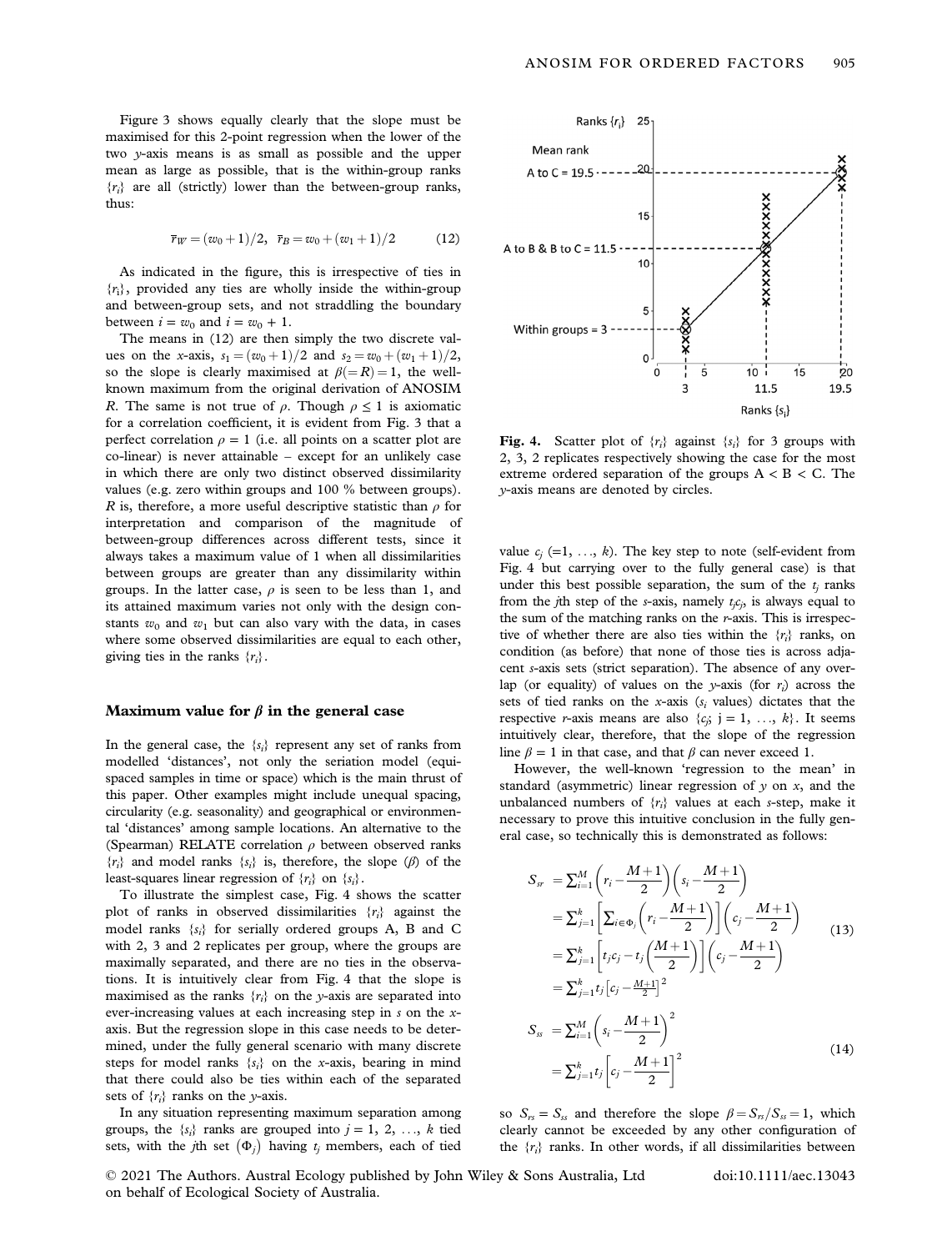Figure 3 shows equally clearly that the slope must be maximised for this 2-point regression when the lower of the two y-axis means is as small as possible and the upper mean as large as possible, that is the within-group ranks  ${r_i}$  are all (strictly) lower than the between-group ranks, thus:

$$
\bar{r}_W = (w_0 + 1)/2, \ \bar{r}_B = w_0 + (w_1 + 1)/2
$$
 (12)

As indicated in the figure, this is irrespective of ties in  ${r_i}$ , provided any ties are wholly inside the within-group and between-group sets, and not straddling the boundary between  $i = w_0$  and  $i = w_0 + 1$ .

The means in (12) are then simply the two discrete values on the x-axis,  $s_1 = (w_0 + 1)/2$  and  $s_2 = w_0 + (w_1 + 1)/2$ , so the slope is clearly maximised at  $\beta (=R) = 1$ , the wellknown maximum from the original derivation of ANOSIM R. The same is not true of  $\rho$ . Though  $\rho \leq 1$  is axiomatic for a correlation coefficient, it is evident from Fig. 3 that a perfect correlation  $\rho = 1$  (i.e. all points on a scatter plot are co-linear) is never attainable – except for an unlikely case in which there are only two distinct observed dissimilarity values (e.g. zero within groups and 100 % between groups). R is, therefore, a more useful descriptive statistic than  $\rho$  for interpretation and comparison of the magnitude of between-group differences across different tests, since it always takes a maximum value of 1 when all dissimilarities between groups are greater than any dissimilarity within groups. In the latter case,  $\rho$  is seen to be less than 1, and its attained maximum varies not only with the design constants  $w_0$  and  $w_1$  but can also vary with the data, in cases where some observed dissimilarities are equal to each other, giving ties in the ranks  $\{r_i\}$ .

#### Maximum value for  $\beta$  in the general case

In the general case, the  $\{s_i\}$  represent any set of ranks from modelled 'distances', not only the seriation model (equispaced samples in time or space) which is the main thrust of this paper. Other examples might include unequal spacing, circularity (e.g. seasonality) and geographical or environmental 'distances' among sample locations. An alternative to the (Spearman) RELATE correlation  $\rho$  between observed ranks  ${r_i}$  and model ranks  ${s_i}$  is, therefore, the slope ( $\beta$ ) of the least-squares linear regression of  $\{r_i\}$  on  $\{s_i\}$ .

To illustrate the simplest case, Fig. 4 shows the scatter plot of ranks in observed dissimilarities  $\{r_i\}$  against the model ranks  $\{s_i\}$  for serially ordered groups A, B and C with 2, 3 and 2 replicates per group, where the groups are maximally separated, and there are no ties in the observations. It is intuitively clear from Fig. 4 that the slope is maximised as the ranks  $\{r_i\}$  on the y-axis are separated into ever-increasing values at each increasing step in s on the xaxis. But the regression slope in this case needs to be determined, under the fully general scenario with many discrete steps for model ranks  $\{s_i\}$  on the x-axis, bearing in mind that there could also be ties within each of the separated sets of  $\{r_i\}$  ranks on the y-axis.

In any situation representing maximum separation among groups, the  $\{s_i\}$  ranks are grouped into  $j = 1, 2, ..., k$  tied sets, with the *j*th set  $(\Phi_j)$  having  $t_j$  members, each of tied



Fig. 4. Scatter plot of  $\{r_i\}$  against  $\{s_i\}$  for 3 groups with 2, 3, 2 replicates respectively showing the case for the most extreme ordered separation of the groups  $A < B < C$ . The y-axis means are denoted by circles.

value  $c_j$  (=1, ..., k). The key step to note (self-evident from Fig. 4 but carrying over to the fully general case) is that under this best possible separation, the sum of the  $t_i$  ranks from the *j*th step of the *s*-axis, namely  $t_j c_j$ , is always equal to the sum of the matching ranks on the r-axis. This is irrespective of whether there are also ties within the  $\{r_i\}$  ranks, on condition (as before) that none of those ties is across adjacent s-axis sets (strict separation). The absence of any overlap (or equality) of values on the y-axis (for  $r_i$ ) across the sets of tied ranks on the x-axis ( $s_i$  values) dictates that the respective *r*-axis means are also  $\{c_j; j = 1, ..., k\}$ . It seems intuitively clear, therefore, that the slope of the regression line  $\beta = 1$  in that case, and that  $\beta$  can never exceed 1.

However, the well-known 'regression to the mean' in standard (asymmetric) linear regression of  $y$  on  $x$ , and the unbalanced numbers of  $\{r_i\}$  values at each s-step, make it necessary to prove this intuitive conclusion in the fully general case, so technically this is demonstrated as follows:

$$
S_{sr} = \sum_{i=1}^{M} \left( r_i - \frac{M+1}{2} \right) \left( s_i - \frac{M+1}{2} \right)
$$
  
\n
$$
= \sum_{j=1}^{k} \left[ \sum_{i \in \Phi_j} \left( r_i - \frac{M+1}{2} \right) \right] \left( c_j - \frac{M+1}{2} \right)
$$
  
\n
$$
= \sum_{j=1}^{k} \left[ t_j c_j - t_j \left( \frac{M+1}{2} \right) \right] \left( c_j - \frac{M+1}{2} \right)
$$
  
\n
$$
= \sum_{j=1}^{k} t_j \left[ c_j - \frac{M+1}{2} \right]^2
$$
  
\n
$$
S_{ss} = \sum_{i=1}^{M} \left( s_i - \frac{M+1}{2} \right)^2
$$
  
\n
$$
= \sum_{j=1}^{k} t_j \left[ c_j - \frac{M+1}{2} \right]^2
$$
  
\n(14)

so  $S_{rs} = S_{ss}$  and therefore the slope  $\beta = S_{rs}/S_{ss} = 1$ , which clearly cannot be exceeded by any other configuration of the  $\{r_i\}$  ranks. In other words, if all dissimilarities between

© 2021 The Authors. Austral Ecology published by John Wiley & Sons Australia, Ltd on behalf of Ecological Society of Australia.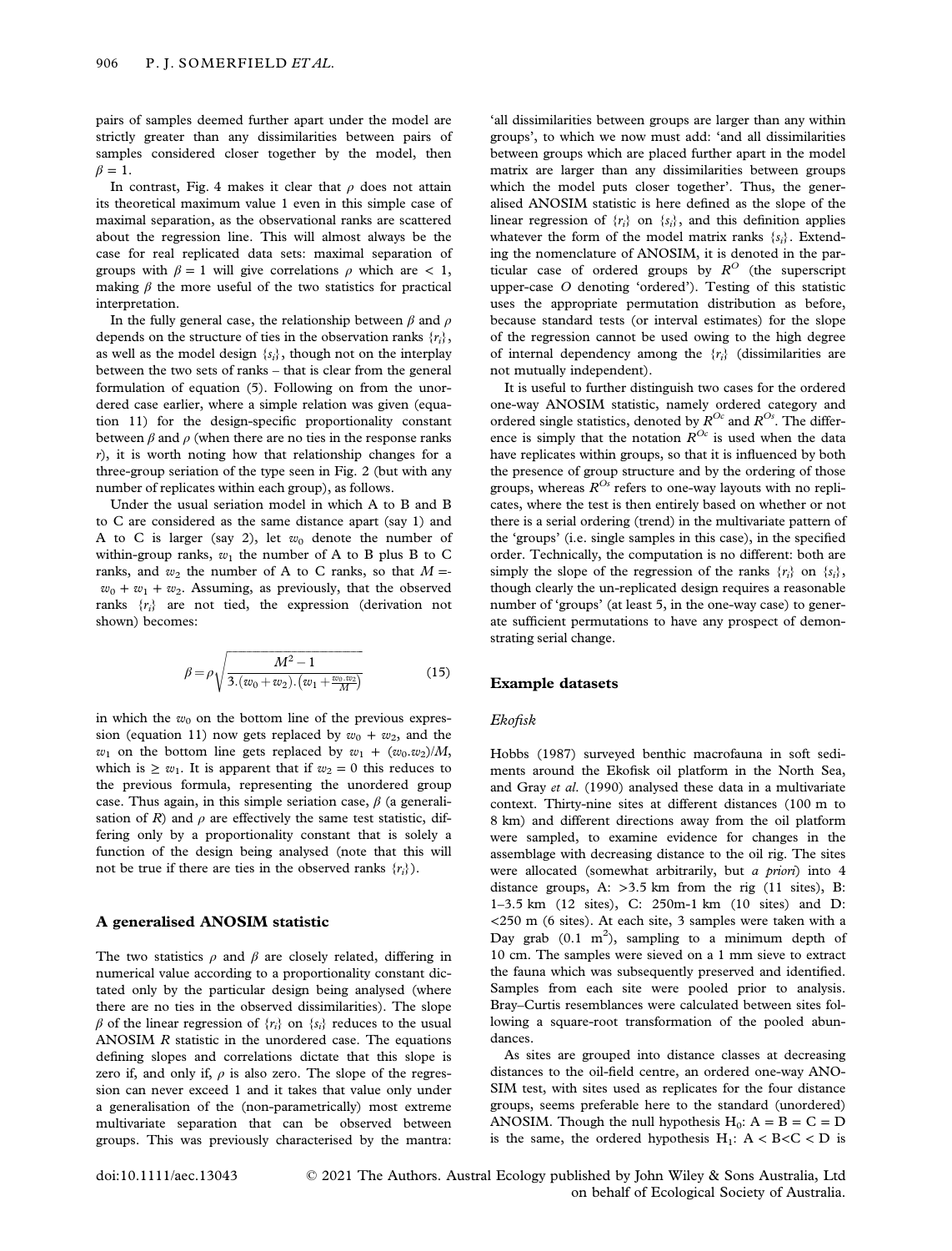pairs of samples deemed further apart under the model are strictly greater than any dissimilarities between pairs of samples considered closer together by the model, then  $\beta = 1$ .

In contrast, Fig. 4 makes it clear that  $\rho$  does not attain its theoretical maximum value 1 even in this simple case of maximal separation, as the observational ranks are scattered about the regression line. This will almost always be the case for real replicated data sets: maximal separation of groups with  $\beta = 1$  will give correlations  $\rho$  which are  $\langle 1, \rangle$ making  $\beta$  the more useful of the two statistics for practical interpretation.

In the fully general case, the relationship between  $\beta$  and  $\rho$ depends on the structure of ties in the observation ranks  $\{r_i\}$ , as well as the model design  $\{s_i\}$ , though not on the interplay between the two sets of ranks – that is clear from the general formulation of equation (5). Following on from the unordered case earlier, where a simple relation was given (equation 11) for the design-specific proportionality constant between  $\beta$  and  $\rho$  (when there are no ties in the response ranks  $r$ ), it is worth noting how that relationship changes for a three-group seriation of the type seen in Fig. 2 (but with any number of replicates within each group), as follows.

Under the usual seriation model in which A to B and B to C are considered as the same distance apart (say 1) and A to C is larger (say 2), let  $w_0$  denote the number of within-group ranks,  $w_1$  the number of A to B plus B to C ranks, and  $w_2$  the number of A to C ranks, so that  $M =$  $w_0 + w_1 + w_2$ . Assuming, as previously, that the observed ranks  $\{r_i\}$  are not tied, the expression (derivation not shown) becomes:

$$
\beta = \rho \sqrt{\frac{M^2 - 1}{3.(w_0 + w_2) . (w_1 + \frac{w_0, w_2}{M})}}
$$
(15)

in which the  $w_0$  on the bottom line of the previous expression (equation 11) now gets replaced by  $w_0 + w_2$ , and the  $w_1$  on the bottom line gets replaced by  $w_1 + (w_0, w_2)/M$ , which is  $\geq w_1$ . It is apparent that if  $w_2 = 0$  this reduces to the previous formula, representing the unordered group case. Thus again, in this simple seriation case,  $\beta$  (a generalisation of R) and  $\rho$  are effectively the same test statistic, differing only by a proportionality constant that is solely a function of the design being analysed (note that this will not be true if there are ties in the observed ranks  $\{r_i\}$ .

# A generalised ANOSIM statistic

The two statistics  $\rho$  and  $\beta$  are closely related, differing in numerical value according to a proportionality constant dictated only by the particular design being analysed (where there are no ties in the observed dissimilarities). The slope  $\beta$  of the linear regression of  $\{r_i\}$  on  $\{s_i\}$  reduces to the usual ANOSIM R statistic in the unordered case. The equations defining slopes and correlations dictate that this slope is zero if, and only if,  $\rho$  is also zero. The slope of the regression can never exceed 1 and it takes that value only under a generalisation of the (non-parametrically) most extreme multivariate separation that can be observed between groups. This was previously characterised by the mantra:

'all dissimilarities between groups are larger than any within groups', to which we now must add: 'and all dissimilarities between groups which are placed further apart in the model matrix are larger than any dissimilarities between groups which the model puts closer together'. Thus, the generalised ANOSIM statistic is here defined as the slope of the linear regression of  $\{r_i\}$  on  $\{s_i\}$ , and this definition applies whatever the form of the model matrix ranks  $\{s_i\}$ . Extending the nomenclature of ANOSIM, it is denoted in the particular case of ordered groups by  $R^O$  (the superscript upper-case O denoting 'ordered'). Testing of this statistic uses the appropriate permutation distribution as before, because standard tests (or interval estimates) for the slope of the regression cannot be used owing to the high degree of internal dependency among the  $\{r_i\}$  (dissimilarities are not mutually independent).

It is useful to further distinguish two cases for the ordered one-way ANOSIM statistic, namely ordered category and ordered single statistics, denoted by  $R^{Oc}$  and  $R^{Os}$ . The difference is simply that the notation  $R^{Oc}$  is used when the data have replicates within groups, so that it is influenced by both the presence of group structure and by the ordering of those groups, whereas  $R^{Os}$  refers to one-way layouts with no replicates, where the test is then entirely based on whether or not there is a serial ordering (trend) in the multivariate pattern of the 'groups' (i.e. single samples in this case), in the specified order. Technically, the computation is no different: both are simply the slope of the regression of the ranks  $\{r_i\}$  on  $\{s_i\}$ , though clearly the un-replicated design requires a reasonable number of 'groups' (at least 5, in the one-way case) to generate sufficient permutations to have any prospect of demonstrating serial change.

#### Example datasets

#### Ekofisk

Hobbs (1987) surveyed benthic macrofauna in soft sediments around the Ekofisk oil platform in the North Sea, and Gray et al. (1990) analysed these data in a multivariate context. Thirty-nine sites at different distances (100 m to 8 km) and different directions away from the oil platform were sampled, to examine evidence for changes in the assemblage with decreasing distance to the oil rig. The sites were allocated (somewhat arbitrarily, but a priori) into 4 distance groups, A:  $>3.5$  km from the rig (11 sites), B: 1–3.5 km (12 sites), C: 250m-1 km (10 sites) and D: <250 m (6 sites). At each site, 3 samples were taken with a Day grab  $(0.1 \text{ m}^2)$ , sampling to a minimum depth of 10 cm. The samples were sieved on a 1 mm sieve to extract the fauna which was subsequently preserved and identified. Samples from each site were pooled prior to analysis. Bray–Curtis resemblances were calculated between sites following a square-root transformation of the pooled abundances.

As sites are grouped into distance classes at decreasing distances to the oil-field centre, an ordered one-way ANO-SIM test, with sites used as replicates for the four distance groups, seems preferable here to the standard (unordered) ANOSIM. Though the null hypothesis  $H_0$ :  $A = B = C = D$ is the same, the ordered hypothesis  $H_1$ :  $A < B < C < D$  is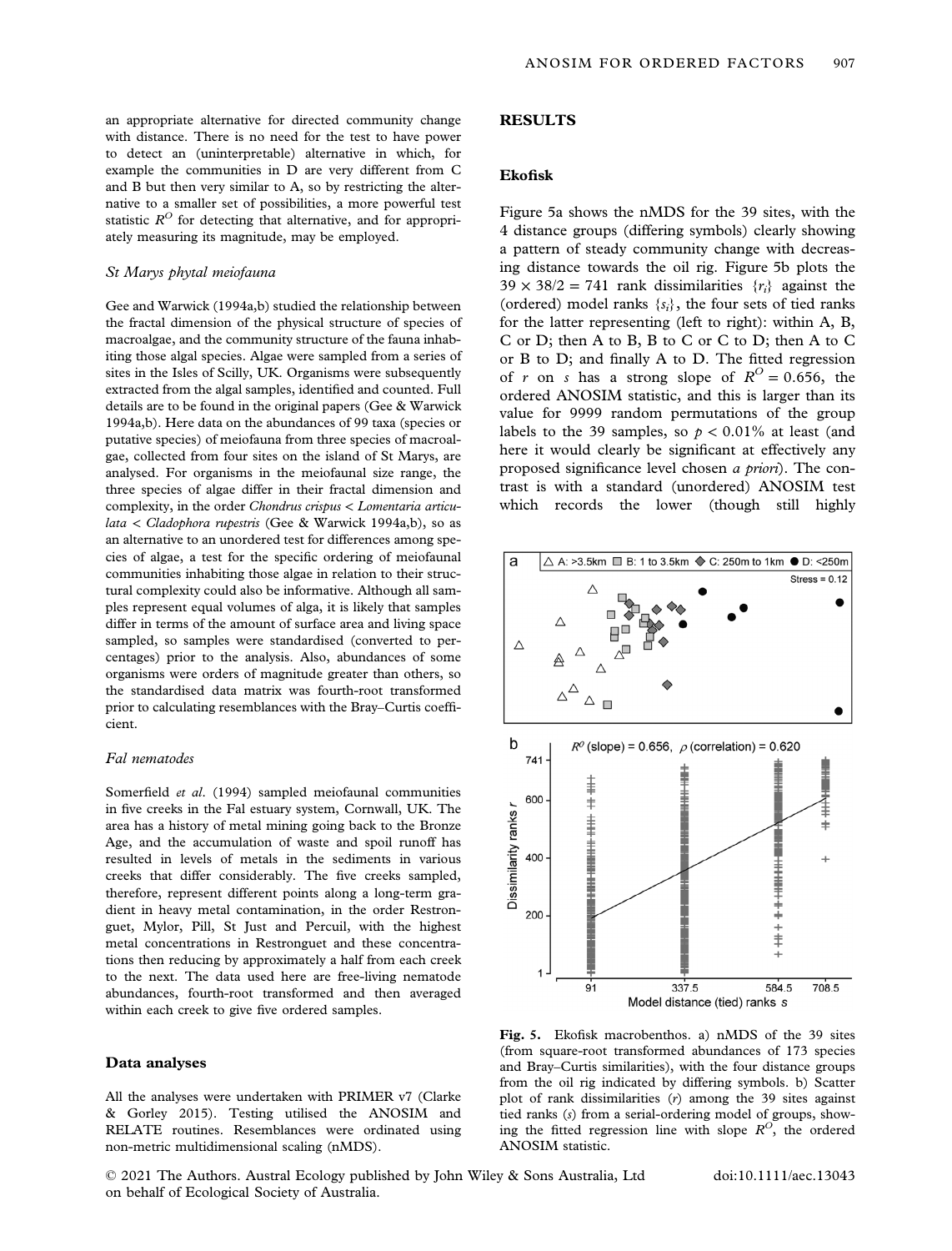an appropriate alternative for directed community change with distance. There is no need for the test to have power to detect an (uninterpretable) alternative in which, for example the communities in D are very different from C and B but then very similar to A, so by restricting the alternative to a smaller set of possibilities, a more powerful test statistic  $R^{O}$  for detecting that alternative, and for appropriately measuring its magnitude, may be employed.

# St Marys phytal meiofauna

Gee and Warwick (1994a,b) studied the relationship between the fractal dimension of the physical structure of species of macroalgae, and the community structure of the fauna inhabiting those algal species. Algae were sampled from a series of sites in the Isles of Scilly, UK. Organisms were subsequently extracted from the algal samples, identified and counted. Full details are to be found in the original papers (Gee & Warwick 1994a,b). Here data on the abundances of 99 taxa (species or putative species) of meiofauna from three species of macroalgae, collected from four sites on the island of St Marys, are analysed. For organisms in the meiofaunal size range, the three species of algae differ in their fractal dimension and complexity, in the order Chondrus crispus < Lomentaria articulata < Cladophora rupestris (Gee & Warwick 1994a,b), so as an alternative to an unordered test for differences among species of algae, a test for the specific ordering of meiofaunal communities inhabiting those algae in relation to their structural complexity could also be informative. Although all samples represent equal volumes of alga, it is likely that samples differ in terms of the amount of surface area and living space sampled, so samples were standardised (converted to percentages) prior to the analysis. Also, abundances of some organisms were orders of magnitude greater than others, so the standardised data matrix was fourth-root transformed prior to calculating resemblances with the Bray–Curtis coefficient.

#### Fal nematodes

Somerfield et al. (1994) sampled meiofaunal communities in five creeks in the Fal estuary system, Cornwall, UK. The area has a history of metal mining going back to the Bronze Age, and the accumulation of waste and spoil runoff has resulted in levels of metals in the sediments in various creeks that differ considerably. The five creeks sampled, therefore, represent different points along a long-term gradient in heavy metal contamination, in the order Restronguet, Mylor, Pill, St Just and Percuil, with the highest metal concentrations in Restronguet and these concentrations then reducing by approximately a half from each creek to the next. The data used here are free-living nematode abundances, fourth-root transformed and then averaged within each creek to give five ordered samples.

#### Data analyses

All the analyses were undertaken with PRIMER v7 (Clarke & Gorley 2015). Testing utilised the ANOSIM and RELATE routines. Resemblances were ordinated using non-metric multidimensional scaling (nMDS).

#### RESULTS

# Ekofisk

Figure 5a shows the nMDS for the 39 sites, with the 4 distance groups (differing symbols) clearly showing a pattern of steady community change with decreasing distance towards the oil rig. Figure 5b plots the  $39 \times 38/2 = 741$  rank dissimilarities  $\{r_i\}$  against the (ordered) model ranks  $\{s_i\}$ , the four sets of tied ranks for the latter representing (left to right): within A, B, C or D; then A to B, B to C or C to D; then A to C or B to D; and finally A to D. The fitted regression of r on s has a strong slope of  $R^O = 0.656$ , the ordered ANOSIM statistic, and this is larger than its value for 9999 random permutations of the group labels to the 39 samples, so  $p < 0.01\%$  at least (and here it would clearly be significant at effectively any proposed significance level chosen a priori). The contrast is with a standard (unordered) ANOSIM test which records the lower (though still highly



Fig. 5. Ekofisk macrobenthos. a) nMDS of the 39 sites (from square-root transformed abundances of 173 species and Bray–Curtis similarities), with the four distance groups from the oil rig indicated by differing symbols. b) Scatter plot of rank dissimilarities (r) among the 39 sites against tied ranks (s) from a serial-ordering model of groups, showing the fitted regression line with slope  $R^O$ , the ordered ANOSIM statistic.

© 2021 The Authors. Austral Ecology published by John Wiley & Sons Australia, Ltd on behalf of Ecological Society of Australia.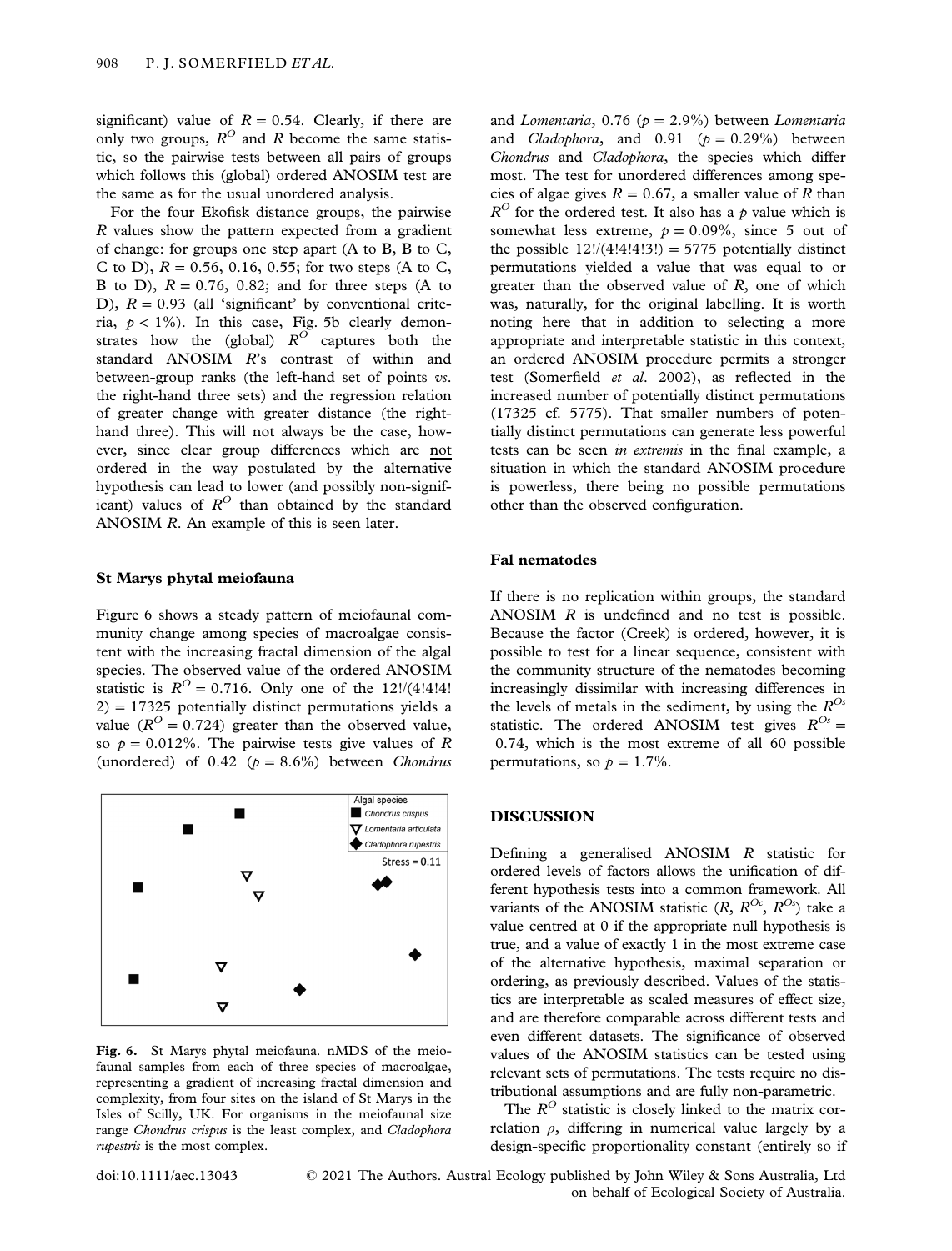significant) value of  $R = 0.54$ . Clearly, if there are only two groups,  $R^O$  and R become the same statistic, so the pairwise tests between all pairs of groups which follows this (global) ordered ANOSIM test are the same as for the usual unordered analysis.

For the four Ekofisk distance groups, the pairwise R values show the pattern expected from a gradient of change: for groups one step apart (A to B, B to C, C to D),  $R = 0.56, 0.16, 0.55$ ; for two steps (A to C, B to D),  $R = 0.76$ , 0.82; and for three steps (A to D),  $R = 0.93$  (all 'significant' by conventional criteria,  $p < 1\%$ ). In this case, Fig. 5b clearly demonstrates how the (global)  $R^{O}$  captures both the standard ANOSIM R's contrast of within and between-group ranks (the left-hand set of points vs. the right-hand three sets) and the regression relation of greater change with greater distance (the righthand three). This will not always be the case, however, since clear group differences which are not ordered in the way postulated by the alternative hypothesis can lead to lower (and possibly non-significant) values of  $R^O$  than obtained by the standard ANOSIM R. An example of this is seen later.

#### St Marys phytal meiofauna

Figure 6 shows a steady pattern of meiofaunal community change among species of macroalgae consistent with the increasing fractal dimension of the algal species. The observed value of the ordered ANOSIM statistic is  $R^{O} = 0.716$ . Only one of the 12!/(4!4!4!  $2$ ) = 17325 potentially distinct permutations yields a value ( $R^{O} = 0.724$ ) greater than the observed value, so  $p = 0.012\%$ . The pairwise tests give values of R (unordered) of  $0.42$  ( $p = 8.6\%$ ) between *Chondrus* 



Fig. 6. St Marys phytal meiofauna. nMDS of the meiofaunal samples from each of three species of macroalgae, representing a gradient of increasing fractal dimension and complexity, from four sites on the island of St Marys in the Isles of Scilly, UK. For organisms in the meiofaunal size range Chondrus crispus is the least complex, and Cladophora rupestris is the most complex.

and Lomentaria, 0.76 ( $p = 2.9\%$ ) between Lomentaria and *Cladophora*, and  $0.91$  ( $p = 0.29\%$ ) between Chondrus and Cladophora, the species which differ most. The test for unordered differences among species of algae gives  $R = 0.67$ , a smaller value of R than  $R^{O}$  for the ordered test. It also has a p value which is somewhat less extreme,  $p = 0.09\%$ , since 5 out of the possible  $12!/(4!4!4!3!) = 5775$  potentially distinct permutations yielded a value that was equal to or greater than the observed value of  $R$ , one of which was, naturally, for the original labelling. It is worth noting here that in addition to selecting a more appropriate and interpretable statistic in this context, an ordered ANOSIM procedure permits a stronger test (Somerfield et al. 2002), as reflected in the increased number of potentially distinct permutations (17325 cf. 5775). That smaller numbers of potentially distinct permutations can generate less powerful tests can be seen in extremis in the final example, a situation in which the standard ANOSIM procedure is powerless, there being no possible permutations other than the observed configuration.

## Fal nematodes

If there is no replication within groups, the standard ANOSIM R is undefined and no test is possible. Because the factor (Creek) is ordered, however, it is possible to test for a linear sequence, consistent with the community structure of the nematodes becoming increasingly dissimilar with increasing differences in the levels of metals in the sediment, by using the  $R^{Os}$ statistic. The ordered ANOSIM test gives  $R^{Os} =$ 0.74, which is the most extreme of all 60 possible permutations, so  $p = 1.7\%$ .

# DISCUSSION

Defining a generalised ANOSIM R statistic for ordered levels of factors allows the unification of different hypothesis tests into a common framework. All variants of the ANOSIM statistic  $(R, R^{Oc}, R^{Os})$  take a value centred at 0 if the appropriate null hypothesis is true, and a value of exactly 1 in the most extreme case of the alternative hypothesis, maximal separation or ordering, as previously described. Values of the statistics are interpretable as scaled measures of effect size, and are therefore comparable across different tests and even different datasets. The significance of observed values of the ANOSIM statistics can be tested using relevant sets of permutations. The tests require no distributional assumptions and are fully non-parametric.

The  $R^O$  statistic is closely linked to the matrix correlation  $\rho$ , differing in numerical value largely by a design-specific proportionality constant (entirely so if

doi:10.1111/aec.13043 © 2021 The Authors. Austral Ecology published by John Wiley & Sons Australia, Ltd on behalf of Ecological Society of Australia.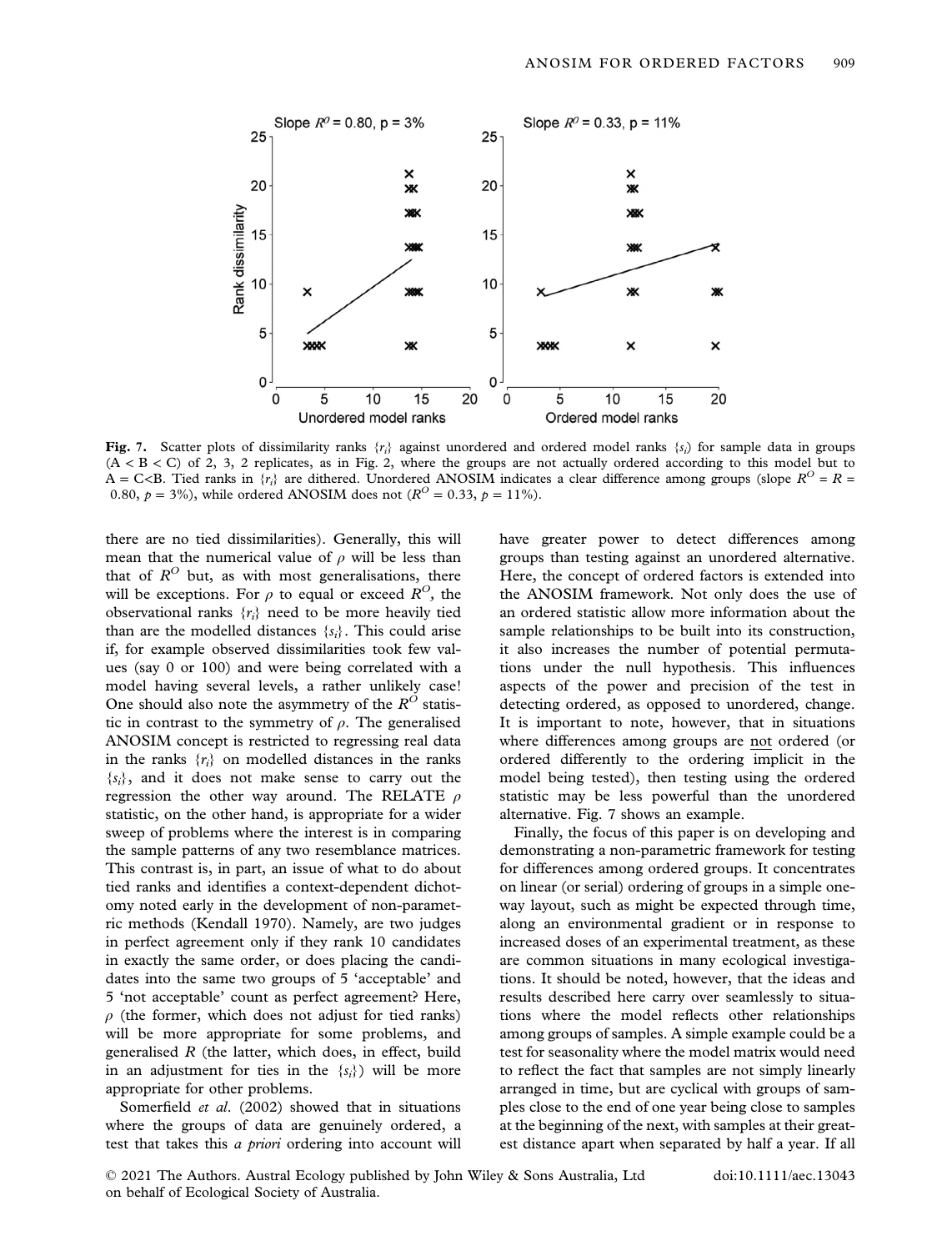

Fig. 7. Scatter plots of dissimilarity ranks  $\{r_i\}$  against unordered and ordered model ranks  $\{s_i\}$  for sample data in groups  $(A < B < C)$  of 2, 3, 2 replicates, as in Fig. 2, where the groups are not actually ordered according to this model but to A = C<B. Tied ranks in  $\{r_i\}$  are dithered. Unordered ANOSIM indicates a clear difference among groups (slope  $R^O = R =$ 0.80,  $p = 3\%$ ), while ordered ANOSIM does not ( $R^{O} = 0.33$ ,  $p = 11\%$ ).

there are no tied dissimilarities). Generally, this will mean that the numerical value of  $\rho$  will be less than that of  $R^O$  but, as with most generalisations, there will be exceptions. For  $\rho$  to equal or exceed  $R^O$ , the observational ranks  $\{r_i\}$  need to be more heavily tied than are the modelled distances  $\{s_i\}$ . This could arise if, for example observed dissimilarities took few values (say 0 or 100) and were being correlated with a model having several levels, a rather unlikely case! One should also note the asymmetry of the  $R^O$  statistic in contrast to the symmetry of  $\rho$ . The generalised ANOSIM concept is restricted to regressing real data in the ranks  $\{r_i\}$  on modelled distances in the ranks  ${s_i}$ , and it does not make sense to carry out the regression the other way around. The RELATE  $\rho$ statistic, on the other hand, is appropriate for a wider sweep of problems where the interest is in comparing the sample patterns of any two resemblance matrices. This contrast is, in part, an issue of what to do about tied ranks and identifies a context-dependent dichotomy noted early in the development of non-parametric methods (Kendall 1970). Namely, are two judges in perfect agreement only if they rank 10 candidates in exactly the same order, or does placing the candidates into the same two groups of 5 'acceptable' and 5 'not acceptable' count as perfect agreement? Here,  $\rho$  (the former, which does not adjust for tied ranks) will be more appropriate for some problems, and generalised  $R$  (the latter, which does, in effect, build in an adjustment for ties in the  $\{s_i\}$  will be more appropriate for other problems.

Somerfield et al. (2002) showed that in situations where the groups of data are genuinely ordered, a test that takes this a priori ordering into account will have greater power to detect differences among groups than testing against an unordered alternative. Here, the concept of ordered factors is extended into the ANOSIM framework. Not only does the use of an ordered statistic allow more information about the sample relationships to be built into its construction, it also increases the number of potential permutations under the null hypothesis. This influences aspects of the power and precision of the test in detecting ordered, as opposed to unordered, change. It is important to note, however, that in situations where differences among groups are not ordered (or ordered differently to the ordering implicit in the model being tested), then testing using the ordered statistic may be less powerful than the unordered alternative. Fig. 7 shows an example.

Finally, the focus of this paper is on developing and demonstrating a non-parametric framework for testing for differences among ordered groups. It concentrates on linear (or serial) ordering of groups in a simple oneway layout, such as might be expected through time, along an environmental gradient or in response to increased doses of an experimental treatment, as these are common situations in many ecological investigations. It should be noted, however, that the ideas and results described here carry over seamlessly to situations where the model reflects other relationships among groups of samples. A simple example could be a test for seasonality where the model matrix would need to reflect the fact that samples are not simply linearly arranged in time, but are cyclical with groups of samples close to the end of one year being close to samples at the beginning of the next, with samples at their greatest distance apart when separated by half a year. If all